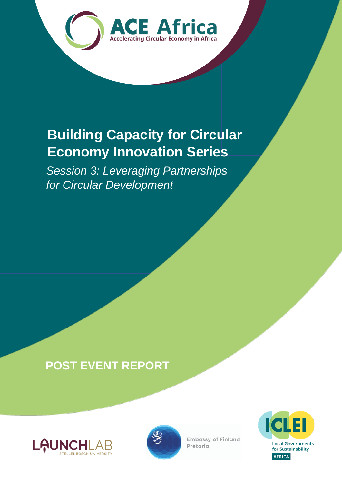

## **Building Capacity for Circular Economy Innovation Series**

*Session 3: Leveraging Partnerships for Circular Development*

## **POST EVENT REPORT**





**Embassy of Finland** Pretoria

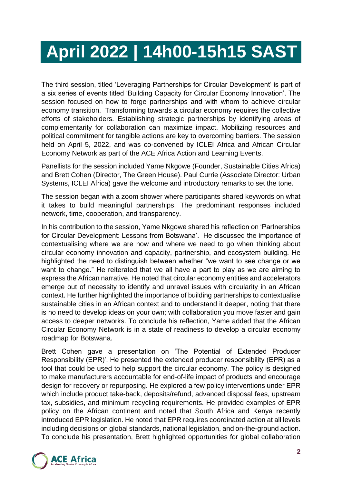## **April 2022 | 14h00-15h15 SAST**

The third session, titled 'Leveraging Partnerships for Circular Development' is part of a six series of events titled 'Building Capacity for Circular Economy Innovation'. The session focused on how to forge partnerships and with whom to achieve circular economy transition. Transforming towards a circular economy requires the collective efforts of stakeholders. Establishing strategic partnerships by identifying areas of complementarity for collaboration can maximize impact. Mobilizing resources and political commitment for tangible actions are key to overcoming barriers. The session held on April 5, 2022, and was co-convened by ICLEI Africa and African Circular Economy Network as part of the ACE Africa Action and Learning Events.

Panellists for the session included Yame Nkgowe (Founder, Sustainable Cities Africa) and Brett Cohen (Director, The Green House). Paul Currie (Associate Director: Urban Systems, ICLEI Africa) gave the welcome and introductory remarks to set the tone.

The session began with a zoom shower where participants shared keywords on what it takes to build meaningful partnerships. The predominant responses included network, time, cooperation, and transparency.

In his contribution to the session, Yame Nkgowe shared his reflection on 'Partnerships for Circular Development: Lessons from Botswana'. He discussed the importance of contextualising where we are now and where we need to go when thinking about circular economy innovation and capacity, partnership, and ecosystem building. He highlighted the need to distinguish between whether "we want to see change or we want to change." He reiterated that we all have a part to play as we are aiming to express the African narrative. He noted that circular economy entities and accelerators emerge out of necessity to identify and unravel issues with circularity in an African context. He further highlighted the importance of building partnerships to contextualise sustainable cities in an African context and to understand it deeper, noting that there is no need to develop ideas on your own; with collaboration you move faster and gain access to deeper networks. To conclude his reflection, Yame added that the African Circular Economy Network is in a state of readiness to develop a circular economy roadmap for Botswana.

Brett Cohen gave a presentation on 'The Potential of Extended Producer Responsibility (EPR)'. He presented the extended producer responsibility (EPR) as a tool that could be used to help support the circular economy. The policy is designed to make manufacturers accountable for end-of-life impact of products and encourage design for recovery or repurposing. He explored a few policy interventions under EPR which include product take-back, deposits/refund, advanced disposal fees, upstream tax, subsidies, and minimum recycling requirements. He provided examples of EPR policy on the African continent and noted that South Africa and Kenya recently introduced EPR legislation. He noted that EPR requires coordinated action at all levels including decisions on global standards, national legislation, and on-the-ground action. To conclude his presentation, Brett highlighted opportunities for global collaboration